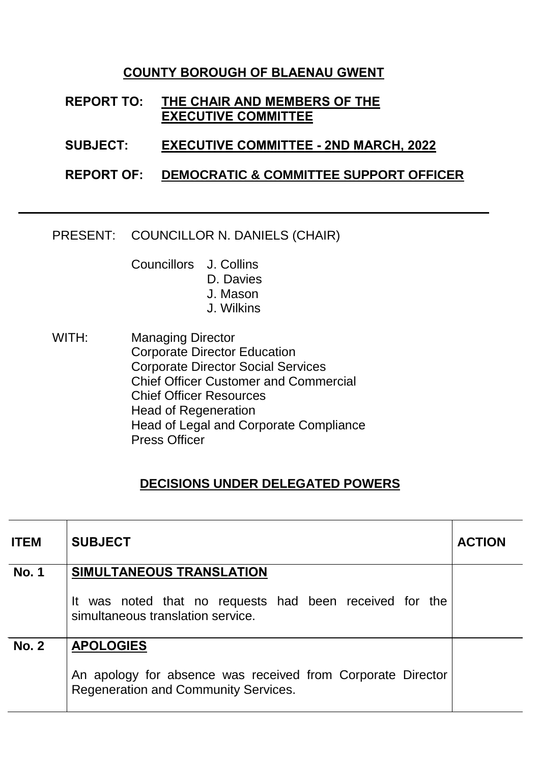### **COUNTY BOROUGH OF BLAENAU GWENT**

### **REPORT TO: THE CHAIR AND MEMBERS OF THE EXECUTIVE COMMITTEE**

- **SUBJECT: EXECUTIVE COMMITTEE - 2ND MARCH, 2022**
- **REPORT OF: DEMOCRATIC & COMMITTEE SUPPORT OFFICER**
- PRESENT: COUNCILLOR N. DANIELS (CHAIR)

Councillors J. Collins D. Davies

- J. Mason
- J. Wilkins
- WITH: Managing Director Corporate Director Education Corporate Director Social Services Chief Officer Customer and Commercial Chief Officer Resources Head of Regeneration Head of Legal and Corporate Compliance Press Officer

# **DECISIONS UNDER DELEGATED POWERS**

| <b>ITEM</b>  | <b>SUBJECT</b>                                                                                             | <b>ACTION</b> |
|--------------|------------------------------------------------------------------------------------------------------------|---------------|
| <b>No. 1</b> | SIMULTANEOUS TRANSLATION                                                                                   |               |
|              | It was noted that no requests had been received for the<br>simultaneous translation service.               |               |
| <b>No. 2</b> | <b>APOLOGIES</b>                                                                                           |               |
|              | An apology for absence was received from Corporate Director<br><b>Regeneration and Community Services.</b> |               |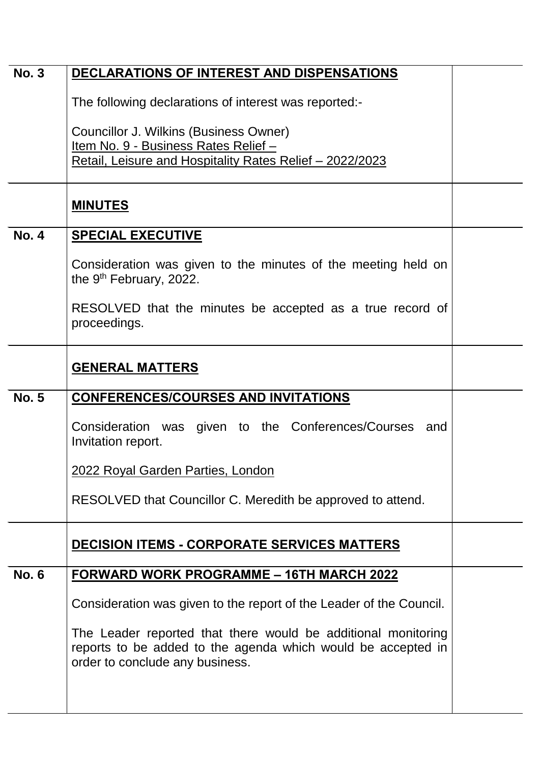| <b>No. 3</b> | DECLARATIONS OF INTEREST AND DISPENSATIONS                                                                                                                       |  |  |
|--------------|------------------------------------------------------------------------------------------------------------------------------------------------------------------|--|--|
|              | The following declarations of interest was reported:-                                                                                                            |  |  |
|              | Councillor J. Wilkins (Business Owner)                                                                                                                           |  |  |
|              | Item No. 9 - Business Rates Relief -<br>Retail, Leisure and Hospitality Rates Relief - 2022/2023                                                                 |  |  |
|              |                                                                                                                                                                  |  |  |
|              | <b>MINUTES</b>                                                                                                                                                   |  |  |
| <b>No. 4</b> | <b>SPECIAL EXECUTIVE</b>                                                                                                                                         |  |  |
|              | Consideration was given to the minutes of the meeting held on<br>the 9 <sup>th</sup> February, 2022.                                                             |  |  |
|              | RESOLVED that the minutes be accepted as a true record of<br>proceedings.                                                                                        |  |  |
|              | <b>GENERAL MATTERS</b>                                                                                                                                           |  |  |
| <b>No. 5</b> | <b>CONFERENCES/COURSES AND INVITATIONS</b>                                                                                                                       |  |  |
|              | Consideration was given to the Conferences/Courses and<br>Invitation report.                                                                                     |  |  |
|              | 2022 Royal Garden Parties, London                                                                                                                                |  |  |
|              | RESOLVED that Councillor C. Meredith be approved to attend.                                                                                                      |  |  |
|              | <b>DECISION ITEMS - CORPORATE SERVICES MATTERS</b>                                                                                                               |  |  |
| <b>No. 6</b> | <u> FORWARD WORK PROGRAMME – 16TH MARCH 2022</u>                                                                                                                 |  |  |
|              | Consideration was given to the report of the Leader of the Council.                                                                                              |  |  |
|              | The Leader reported that there would be additional monitoring<br>reports to be added to the agenda which would be accepted in<br>order to conclude any business. |  |  |
|              |                                                                                                                                                                  |  |  |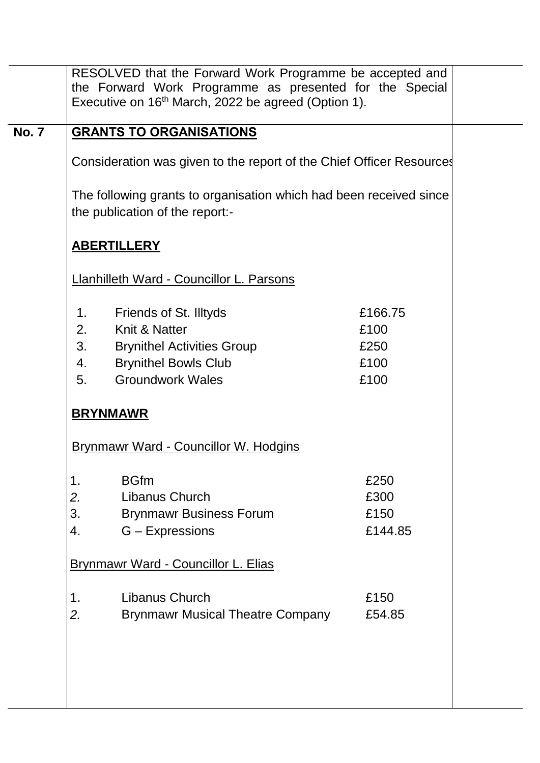|              | RESOLVED that the Forward Work Programme be accepted and<br>the Forward Work Programme as presented for the Special<br>Executive on 16 <sup>th</sup> March, 2022 be agreed (Option 1). |                                         |  |  |
|--------------|----------------------------------------------------------------------------------------------------------------------------------------------------------------------------------------|-----------------------------------------|--|--|
| <b>No. 7</b> | <b>GRANTS TO ORGANISATIONS</b>                                                                                                                                                         |                                         |  |  |
|              | Consideration was given to the report of the Chief Officer Resources                                                                                                                   |                                         |  |  |
|              | The following grants to organisation which had been received since<br>the publication of the report:-<br><b>ABERTILLERY</b>                                                            |                                         |  |  |
|              |                                                                                                                                                                                        |                                         |  |  |
|              | <b>Llanhilleth Ward - Councillor L. Parsons</b>                                                                                                                                        |                                         |  |  |
|              | Friends of St. Illtyds<br>1.<br>Knit & Natter<br>2.<br>3.<br><b>Brynithel Activities Group</b><br><b>Brynithel Bowls Club</b><br>4.<br><b>Groundwork Wales</b><br>5.                   | £166.75<br>£100<br>£250<br>£100<br>£100 |  |  |
|              | <b>BRYNMAWR</b>                                                                                                                                                                        |                                         |  |  |
|              | <u>Brynmawr Ward - Councillor W. Hodgins</u>                                                                                                                                           |                                         |  |  |
|              | <b>BGfm</b><br>1.<br>Libanus Church<br>2.<br>3.<br><b>Brynmawr Business Forum</b><br>G - Expressions<br>4.                                                                             | £250<br>£300<br>£150<br>£144.85         |  |  |
|              | <b>Brynmawr Ward - Councillor L. Elias</b>                                                                                                                                             |                                         |  |  |
|              | Libanus Church<br>$\mathbf 1$ .<br>2.<br><b>Brynmawr Musical Theatre Company</b>                                                                                                       | £150<br>£54.85                          |  |  |
|              |                                                                                                                                                                                        |                                         |  |  |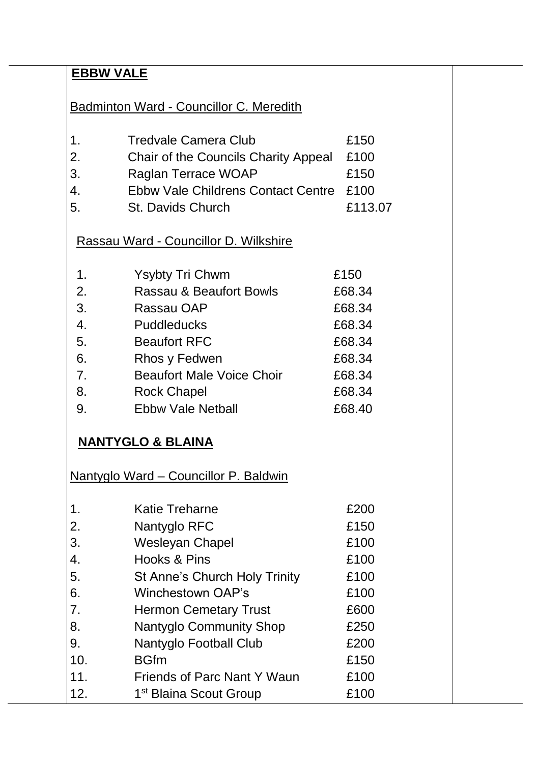# **EBBW VALE**

Badminton Ward - Councillor C. Meredith

| $\mathbf 1$ . | <b>Tredvale Camera Club</b>               | £150 |
|---------------|-------------------------------------------|------|
| 2.            | Chair of the Councils Charity Appeal £100 |      |
| 3.            | Raglan Terrace WOAP                       | £150 |

- 4. Ebbw Vale Childrens Contact Centre £100
- 5. St. Davids Church £113.07

# Rassau Ward - Councillor D. Wilkshire

| $\mathbf{1}$ . | <b>Ysybty Tri Chwm</b>             | £150   |
|----------------|------------------------------------|--------|
| 2.             | <b>Rassau &amp; Beaufort Bowls</b> | £68.34 |
| 3.             | Rassau OAP                         | £68.34 |
| 4.             | <b>Puddleducks</b>                 | £68.34 |
| 5.             | <b>Beaufort RFC</b>                | £68.34 |
| 6.             | Rhos y Fedwen                      | £68.34 |
| 7 <sub>1</sub> | <b>Beaufort Male Voice Choir</b>   | £68.34 |
| 8.             | <b>Rock Chapel</b>                 | £68.34 |
| 9.             | <b>Ebbw Vale Netball</b>           | £68.40 |

# **NANTYGLO & BLAINA**

Nantyglo Ward – Councillor P. Baldwin

| $\mathbf 1$    | <b>Katie Treharne</b>                | £200 |
|----------------|--------------------------------------|------|
| 2.             | Nantyglo RFC                         | £150 |
| 3.             | <b>Wesleyan Chapel</b>               | £100 |
| 4.             | Hooks & Pins                         | £100 |
| 5.             | <b>St Anne's Church Holy Trinity</b> | £100 |
| 6.             | <b>Winchestown OAP's</b>             | £100 |
| 7 <sub>1</sub> | <b>Hermon Cemetary Trust</b>         | £600 |
| 8.             | <b>Nantyglo Community Shop</b>       | £250 |
| 9.             | Nantyglo Football Club               | £200 |
| 10.            | <b>BGfm</b>                          | £150 |
| 11.            | <b>Friends of Parc Nant Y Waun</b>   | £100 |
| 12.            | 1 <sup>st</sup> Blaina Scout Group   | £100 |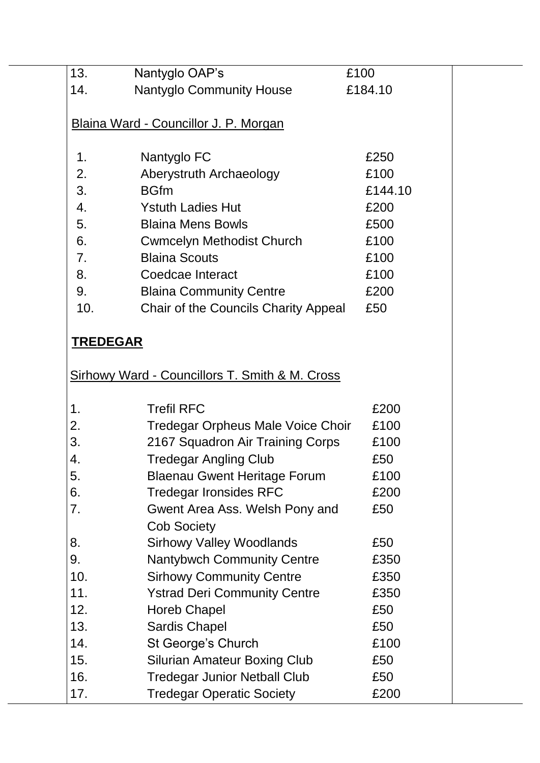| 13.             | Nantyglo OAP's                                            | £100    |  |
|-----------------|-----------------------------------------------------------|---------|--|
| 14.             | <b>Nantyglo Community House</b>                           | £184.10 |  |
|                 |                                                           |         |  |
|                 | Blaina Ward - Councillor J. P. Morgan                     |         |  |
|                 |                                                           |         |  |
| 1.              | Nantyglo FC                                               | £250    |  |
| 2.              | Aberystruth Archaeology                                   | £100    |  |
| 3.              | <b>BGfm</b>                                               | £144.10 |  |
| 4.              | <b>Ystuth Ladies Hut</b>                                  | £200    |  |
| 5.              | <b>Blaina Mens Bowls</b>                                  | £500    |  |
| 6.              | <b>Cwmcelyn Methodist Church</b>                          | £100    |  |
| 7 <sub>1</sub>  | <b>Blaina Scouts</b>                                      | £100    |  |
| 8.              | Coedcae Interact                                          | £100    |  |
| 9.              | <b>Blaina Community Centre</b>                            | £200    |  |
| 10.             | Chair of the Councils Charity Appeal                      | £50     |  |
|                 |                                                           |         |  |
| <b>TREDEGAR</b> |                                                           |         |  |
|                 |                                                           |         |  |
|                 | <b>Sirhowy Ward - Councillors T. Smith &amp; M. Cross</b> |         |  |
|                 |                                                           |         |  |
| 1.              | <b>Trefil RFC</b>                                         | £200    |  |
| 2.              | <b>Tredegar Orpheus Male Voice Choir</b>                  | £100    |  |
| 3.              | 2167 Squadron Air Training Corps                          | £100    |  |
| 4.              | <b>Tredegar Angling Club</b>                              | £50     |  |
| 5.              | <b>Blaenau Gwent Heritage Forum</b>                       | £100    |  |
| 6.              | <b>Tredegar Ironsides RFC</b>                             | £200    |  |
| 7.              | Gwent Area Ass. Welsh Pony and                            | £50     |  |
|                 | <b>Cob Society</b>                                        |         |  |
| 8.              | <b>Sirhowy Valley Woodlands</b>                           | £50     |  |
| 9.              | <b>Nantybwch Community Centre</b>                         | £350    |  |
| 10.             | <b>Sirhowy Community Centre</b>                           | £350    |  |
| 11.             | <b>Ystrad Deri Community Centre</b>                       | £350    |  |
| 12.             | <b>Horeb Chapel</b>                                       | £50     |  |
| 13.             | <b>Sardis Chapel</b>                                      | £50     |  |
| 14.             | St George's Church                                        | £100    |  |
| 15.             | <b>Silurian Amateur Boxing Club</b>                       | £50     |  |
| 16.             | <b>Tredegar Junior Netball Club</b>                       | £50     |  |
| 17.             | <b>Tredegar Operatic Society</b>                          | £200    |  |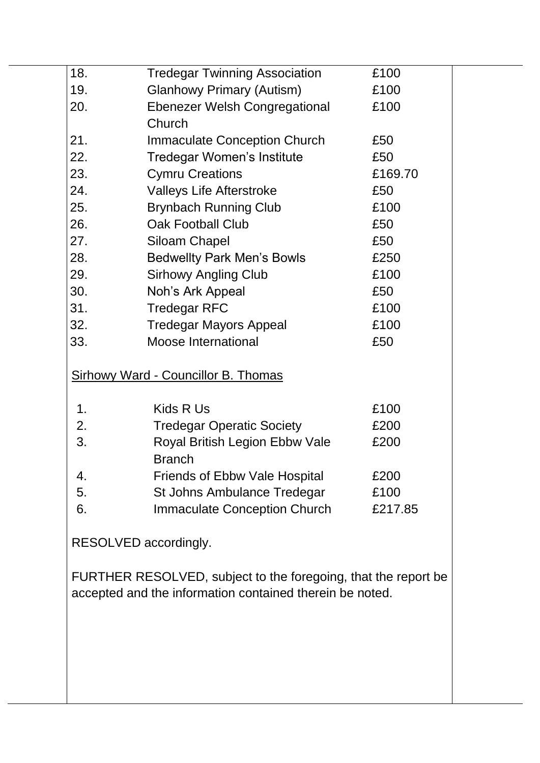| 18. | <b>Tredegar Twinning Association</b>                                                                                       | £100    |
|-----|----------------------------------------------------------------------------------------------------------------------------|---------|
| 19. | <b>Glanhowy Primary (Autism)</b>                                                                                           | £100    |
| 20. | <b>Ebenezer Welsh Congregational</b>                                                                                       | £100    |
|     | Church                                                                                                                     |         |
| 21. | <b>Immaculate Conception Church</b>                                                                                        | £50     |
| 22. | Tredegar Women's Institute                                                                                                 | £50     |
| 23. | <b>Cymru Creations</b>                                                                                                     | £169.70 |
| 24. | <b>Valleys Life Afterstroke</b>                                                                                            | £50     |
| 25. | <b>Brynbach Running Club</b>                                                                                               | £100    |
| 26. | <b>Oak Football Club</b>                                                                                                   | £50     |
| 27. | <b>Siloam Chapel</b>                                                                                                       | £50     |
| 28. | <b>Bedwellty Park Men's Bowls</b>                                                                                          | £250    |
| 29. | <b>Sirhowy Angling Club</b>                                                                                                | £100    |
| 30. | Noh's Ark Appeal                                                                                                           | £50     |
| 31. | <b>Tredegar RFC</b>                                                                                                        | £100    |
| 32. | <b>Tredegar Mayors Appeal</b>                                                                                              | £100    |
| 33. | Moose International                                                                                                        | £50     |
|     | <b>Sirhowy Ward - Councillor B. Thomas</b>                                                                                 |         |
| 1.  | Kids R Us                                                                                                                  | £100    |
| 2.  | <b>Tredegar Operatic Society</b>                                                                                           | £200    |
| 3.  | Royal British Legion Ebbw Vale<br><b>Branch</b>                                                                            | £200    |
| 4.  | <b>Friends of Ebbw Vale Hospital</b>                                                                                       | £200    |
| 5.  | St Johns Ambulance Tredegar                                                                                                | £100    |
| 6.  | <b>Immaculate Conception Church</b>                                                                                        | £217.85 |
|     | RESOLVED accordingly.                                                                                                      |         |
|     | FURTHER RESOLVED, subject to the foregoing, that the report be<br>accepted and the information contained therein be noted. |         |
|     |                                                                                                                            |         |
|     |                                                                                                                            |         |
|     |                                                                                                                            |         |
|     |                                                                                                                            |         |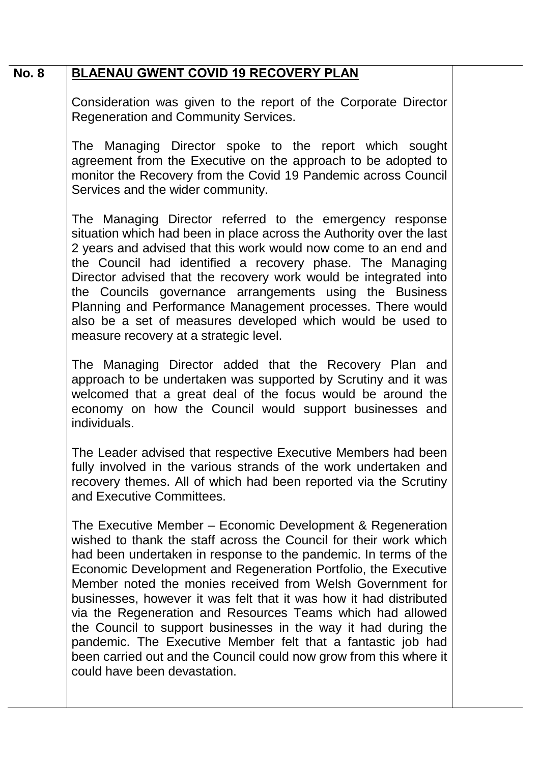### **No. 8 BLAENAU GWENT COVID 19 RECOVERY PLAN**

Consideration was given to the report of the Corporate Director Regeneration and Community Services.

The Managing Director spoke to the report which sought agreement from the Executive on the approach to be adopted to monitor the Recovery from the Covid 19 Pandemic across Council Services and the wider community.

The Managing Director referred to the emergency response situation which had been in place across the Authority over the last 2 years and advised that this work would now come to an end and the Council had identified a recovery phase. The Managing Director advised that the recovery work would be integrated into the Councils governance arrangements using the Business Planning and Performance Management processes. There would also be a set of measures developed which would be used to measure recovery at a strategic level.

The Managing Director added that the Recovery Plan and approach to be undertaken was supported by Scrutiny and it was welcomed that a great deal of the focus would be around the economy on how the Council would support businesses and individuals.

The Leader advised that respective Executive Members had been fully involved in the various strands of the work undertaken and recovery themes. All of which had been reported via the Scrutiny and Executive Committees.

The Executive Member – Economic Development & Regeneration wished to thank the staff across the Council for their work which had been undertaken in response to the pandemic. In terms of the Economic Development and Regeneration Portfolio, the Executive Member noted the monies received from Welsh Government for businesses, however it was felt that it was how it had distributed via the Regeneration and Resources Teams which had allowed the Council to support businesses in the way it had during the pandemic. The Executive Member felt that a fantastic job had been carried out and the Council could now grow from this where it could have been devastation.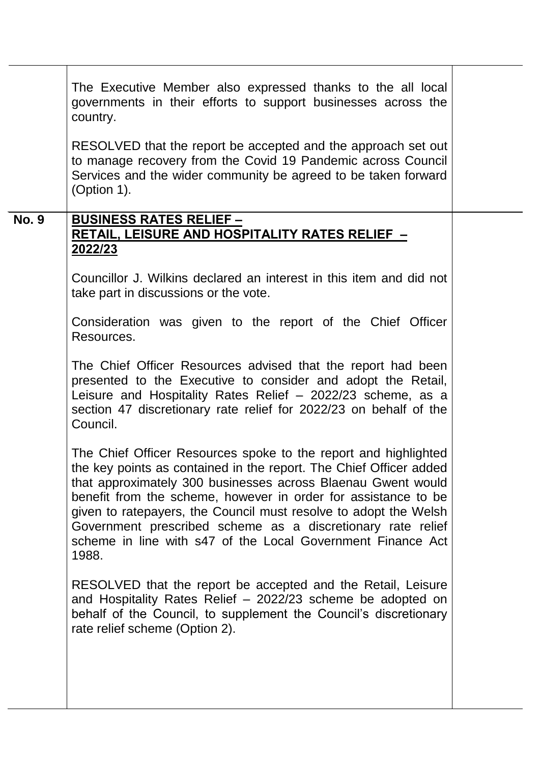|              | The Executive Member also expressed thanks to the all local<br>governments in their efforts to support businesses across the<br>country.                                                                                                                                                                                                                                                                                                                                           |  |
|--------------|------------------------------------------------------------------------------------------------------------------------------------------------------------------------------------------------------------------------------------------------------------------------------------------------------------------------------------------------------------------------------------------------------------------------------------------------------------------------------------|--|
|              | RESOLVED that the report be accepted and the approach set out<br>to manage recovery from the Covid 19 Pandemic across Council<br>Services and the wider community be agreed to be taken forward<br>(Option 1).                                                                                                                                                                                                                                                                     |  |
| <b>No. 9</b> | <b>BUSINESS RATES RELIEF -</b>                                                                                                                                                                                                                                                                                                                                                                                                                                                     |  |
|              | <b>RETAIL, LEISURE AND HOSPITALITY RATES RELIEF -</b><br><u>2022/23</u>                                                                                                                                                                                                                                                                                                                                                                                                            |  |
|              | Councillor J. Wilkins declared an interest in this item and did not<br>take part in discussions or the vote.                                                                                                                                                                                                                                                                                                                                                                       |  |
|              | Consideration was given to the report of the Chief Officer<br>Resources.                                                                                                                                                                                                                                                                                                                                                                                                           |  |
|              | The Chief Officer Resources advised that the report had been<br>presented to the Executive to consider and adopt the Retail,<br>Leisure and Hospitality Rates Relief - 2022/23 scheme, as a<br>section 47 discretionary rate relief for 2022/23 on behalf of the<br>Council.                                                                                                                                                                                                       |  |
|              | The Chief Officer Resources spoke to the report and highlighted<br>the key points as contained in the report. The Chief Officer added<br>that approximately 300 businesses across Blaenau Gwent would<br>benefit from the scheme, however in order for assistance to be<br>given to ratepayers, the Council must resolve to adopt the Welsh<br>Government prescribed scheme as a discretionary rate relief<br>scheme in line with s47 of the Local Government Finance Act<br>1988. |  |
|              | RESOLVED that the report be accepted and the Retail, Leisure<br>and Hospitality Rates Relief - 2022/23 scheme be adopted on<br>behalf of the Council, to supplement the Council's discretionary<br>rate relief scheme (Option 2).                                                                                                                                                                                                                                                  |  |
|              |                                                                                                                                                                                                                                                                                                                                                                                                                                                                                    |  |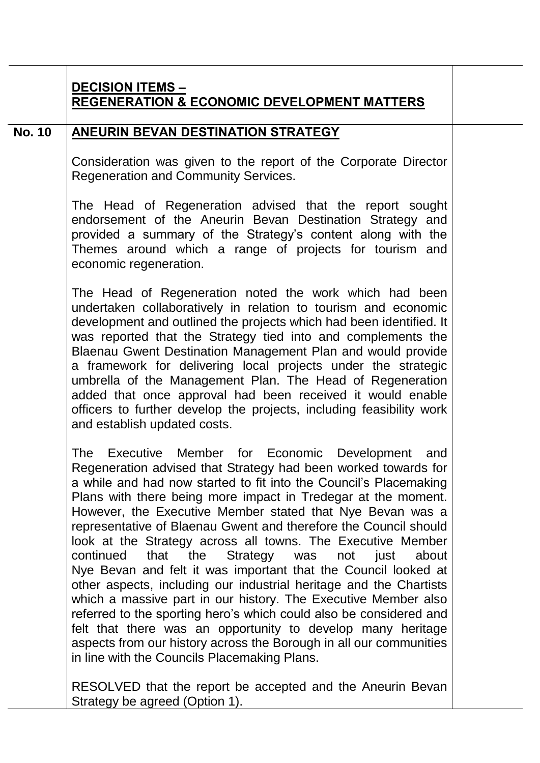|               | <b>DECISION ITEMS -</b><br><b>REGENERATION &amp; ECONOMIC DEVELOPMENT MATTERS</b>                                                                                                                                                                                                                                                                                                                                                                                                                                                                                                                                                  |
|---------------|------------------------------------------------------------------------------------------------------------------------------------------------------------------------------------------------------------------------------------------------------------------------------------------------------------------------------------------------------------------------------------------------------------------------------------------------------------------------------------------------------------------------------------------------------------------------------------------------------------------------------------|
| <b>No. 10</b> | ANEURIN BEVAN DESTINATION STRATEGY                                                                                                                                                                                                                                                                                                                                                                                                                                                                                                                                                                                                 |
|               | Consideration was given to the report of the Corporate Director<br><b>Regeneration and Community Services.</b>                                                                                                                                                                                                                                                                                                                                                                                                                                                                                                                     |
|               | The Head of Regeneration advised that the report sought<br>endorsement of the Aneurin Bevan Destination Strategy and<br>provided a summary of the Strategy's content along with the<br>Themes around which a range of projects for tourism and<br>economic regeneration.                                                                                                                                                                                                                                                                                                                                                           |
|               | The Head of Regeneration noted the work which had been<br>undertaken collaboratively in relation to tourism and economic<br>development and outlined the projects which had been identified. It<br>was reported that the Strategy tied into and complements the<br>Blaenau Gwent Destination Management Plan and would provide<br>a framework for delivering local projects under the strategic<br>umbrella of the Management Plan. The Head of Regeneration<br>added that once approval had been received it would enable<br>officers to further develop the projects, including feasibility work<br>and establish updated costs. |
|               | Executive Member for Economic Development<br>The<br>and<br>Regeneration advised that Strategy had been worked towards for<br>a while and had now started to fit into the Council's Placemaking<br>Plans with there being more impact in Tredegar at the moment.<br>However, the Executive Member stated that Nye Bevan was a<br>representative of Blaenau Gwent and therefore the Council should<br>look at the Strategy across all towns. The Executive Member<br>continued<br>that<br>the<br>Strategy<br>about<br>not<br>just<br>was                                                                                             |

Nye Bevan and felt it was important that the Council looked at other aspects, including our industrial heritage and the Chartists which a massive part in our history. The Executive Member also referred to the sporting hero's which could also be considered and felt that there was an opportunity to develop many heritage aspects from our history across the Borough in all our communities in line with the Councils Placemaking Plans.

RESOLVED that the report be accepted and the Aneurin Bevan Strategy be agreed (Option 1).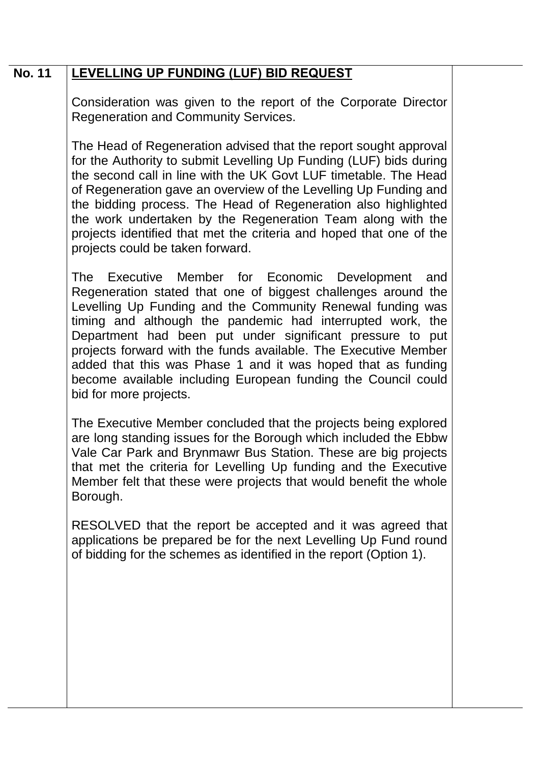### **No. 11 LEVELLING UP FUNDING (LUF) BID REQUEST**

Consideration was given to the report of the Corporate Director Regeneration and Community Services.

The Head of Regeneration advised that the report sought approval for the Authority to submit Levelling Up Funding (LUF) bids during the second call in line with the UK Govt LUF timetable. The Head of Regeneration gave an overview of the Levelling Up Funding and the bidding process. The Head of Regeneration also highlighted the work undertaken by the Regeneration Team along with the projects identified that met the criteria and hoped that one of the projects could be taken forward.

The Executive Member for Economic Development and Regeneration stated that one of biggest challenges around the Levelling Up Funding and the Community Renewal funding was timing and although the pandemic had interrupted work, the Department had been put under significant pressure to put projects forward with the funds available. The Executive Member added that this was Phase 1 and it was hoped that as funding become available including European funding the Council could bid for more projects.

The Executive Member concluded that the projects being explored are long standing issues for the Borough which included the Ebbw Vale Car Park and Brynmawr Bus Station. These are big projects that met the criteria for Levelling Up funding and the Executive Member felt that these were projects that would benefit the whole Borough.

RESOLVED that the report be accepted and it was agreed that applications be prepared be for the next Levelling Up Fund round of bidding for the schemes as identified in the report (Option 1).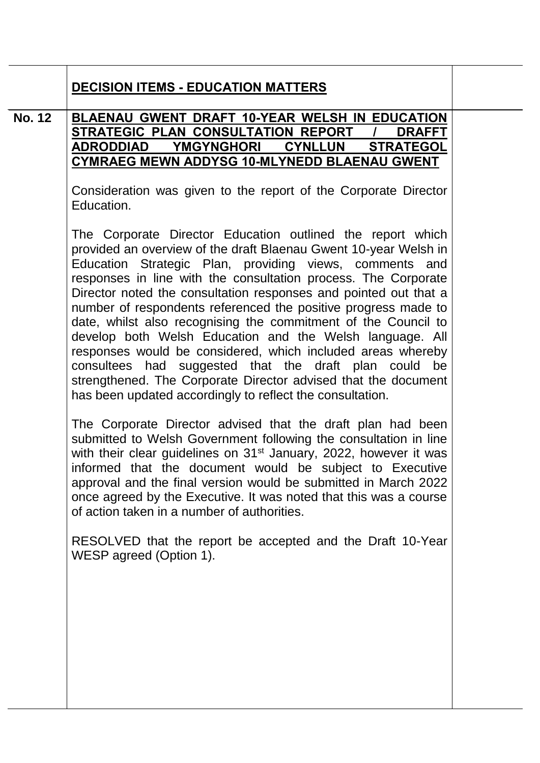|               | <b>DECISION ITEMS - EDUCATION MATTERS</b>                                                                                                                                                                                                                                                                                                                                                                                                                                                                                                                                                                                                                                                                                                                                              |
|---------------|----------------------------------------------------------------------------------------------------------------------------------------------------------------------------------------------------------------------------------------------------------------------------------------------------------------------------------------------------------------------------------------------------------------------------------------------------------------------------------------------------------------------------------------------------------------------------------------------------------------------------------------------------------------------------------------------------------------------------------------------------------------------------------------|
| <b>No. 12</b> | <b>BLAENAU GWENT DRAFT 10-YEAR WELSH IN EDUCATION</b><br>STRATEGIC PLAN CONSULTATION REPORT /<br><b>DRAFFT</b><br><u>ADRODDIAD YMGYNGHORI CYNLLUN</u><br><b>STRATEGOL</b><br><b>CYMRAEG MEWN ADDYSG 10-MLYNEDD BLAENAU GWENT</b>                                                                                                                                                                                                                                                                                                                                                                                                                                                                                                                                                       |
|               | Consideration was given to the report of the Corporate Director<br>Education.                                                                                                                                                                                                                                                                                                                                                                                                                                                                                                                                                                                                                                                                                                          |
|               | The Corporate Director Education outlined the report which<br>provided an overview of the draft Blaenau Gwent 10-year Welsh in<br>Education Strategic Plan, providing views, comments and<br>responses in line with the consultation process. The Corporate<br>Director noted the consultation responses and pointed out that a<br>number of respondents referenced the positive progress made to<br>date, whilst also recognising the commitment of the Council to<br>develop both Welsh Education and the Welsh language. All<br>responses would be considered, which included areas whereby<br>consultees had suggested that the draft plan could be<br>strengthened. The Corporate Director advised that the document<br>has been updated accordingly to reflect the consultation. |
|               | The Corporate Director advised that the draft plan had been<br>submitted to Welsh Government following the consultation in line<br>with their clear guidelines on 31 <sup>st</sup> January, 2022, however it was<br>informed that the document would be subject to Executive<br>approval and the final version would be submitted in March 2022<br>once agreed by the Executive. It was noted that this was a course<br>of action taken in a number of authorities.                                                                                                                                                                                                                                                                                                                    |
|               | RESOLVED that the report be accepted and the Draft 10-Year<br>WESP agreed (Option 1).                                                                                                                                                                                                                                                                                                                                                                                                                                                                                                                                                                                                                                                                                                  |
|               |                                                                                                                                                                                                                                                                                                                                                                                                                                                                                                                                                                                                                                                                                                                                                                                        |
|               |                                                                                                                                                                                                                                                                                                                                                                                                                                                                                                                                                                                                                                                                                                                                                                                        |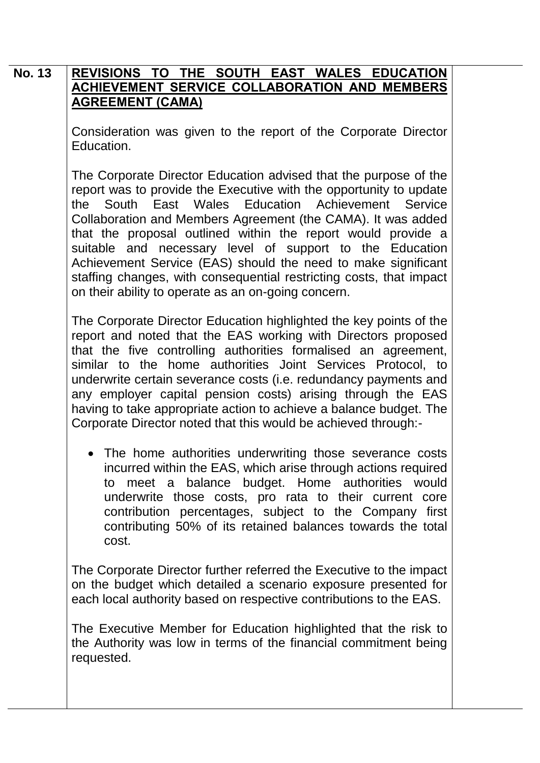#### **No. 13 REVISIONS TO THE SOUTH EAST WALES EDUCATION ACHIEVEMENT SERVICE COLLABORATION AND MEMBERS AGREEMENT (CAMA)**

Consideration was given to the report of the Corporate Director Education.

The Corporate Director Education advised that the purpose of the report was to provide the Executive with the opportunity to update the South East Wales Education Achievement Service Collaboration and Members Agreement (the CAMA). It was added that the proposal outlined within the report would provide a suitable and necessary level of support to the Education Achievement Service (EAS) should the need to make significant staffing changes, with consequential restricting costs, that impact on their ability to operate as an on-going concern.

The Corporate Director Education highlighted the key points of the report and noted that the EAS working with Directors proposed that the five controlling authorities formalised an agreement, similar to the home authorities Joint Services Protocol, to underwrite certain severance costs (i.e. redundancy payments and any employer capital pension costs) arising through the EAS having to take appropriate action to achieve a balance budget. The Corporate Director noted that this would be achieved through:-

• The home authorities underwriting those severance costs incurred within the EAS, which arise through actions required to meet a balance budget. Home authorities would underwrite those costs, pro rata to their current core contribution percentages, subject to the Company first contributing 50% of its retained balances towards the total cost.

The Corporate Director further referred the Executive to the impact on the budget which detailed a scenario exposure presented for each local authority based on respective contributions to the EAS.

The Executive Member for Education highlighted that the risk to the Authority was low in terms of the financial commitment being requested.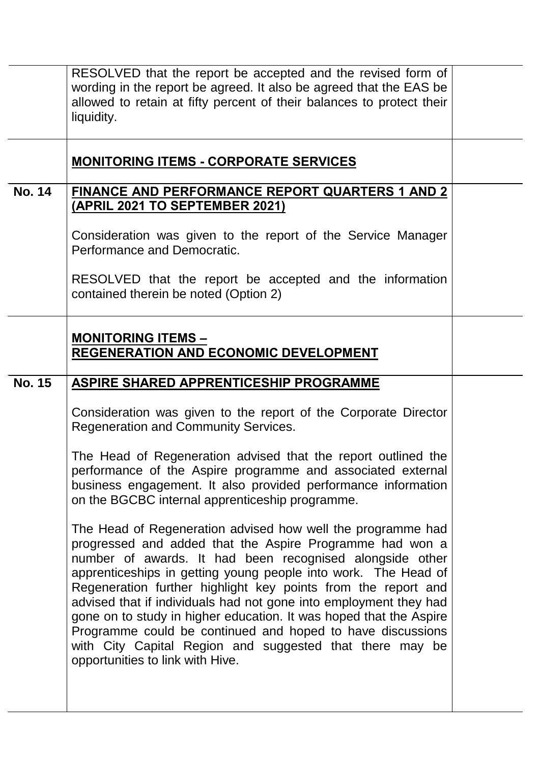|               | RESOLVED that the report be accepted and the revised form of<br>wording in the report be agreed. It also be agreed that the EAS be<br>allowed to retain at fifty percent of their balances to protect their<br>liquidity.                                                                                                                                                                                                                                                                                                                                                                                                       |  |
|---------------|---------------------------------------------------------------------------------------------------------------------------------------------------------------------------------------------------------------------------------------------------------------------------------------------------------------------------------------------------------------------------------------------------------------------------------------------------------------------------------------------------------------------------------------------------------------------------------------------------------------------------------|--|
|               | <b>MONITORING ITEMS - CORPORATE SERVICES</b>                                                                                                                                                                                                                                                                                                                                                                                                                                                                                                                                                                                    |  |
| <b>No. 14</b> | <b>FINANCE AND PERFORMANCE REPORT QUARTERS 1 AND 2</b><br>(APRIL 2021 TO SEPTEMBER 2021)                                                                                                                                                                                                                                                                                                                                                                                                                                                                                                                                        |  |
|               | Consideration was given to the report of the Service Manager<br>Performance and Democratic.                                                                                                                                                                                                                                                                                                                                                                                                                                                                                                                                     |  |
|               | RESOLVED that the report be accepted and the information<br>contained therein be noted (Option 2)                                                                                                                                                                                                                                                                                                                                                                                                                                                                                                                               |  |
|               | <b>MONITORING ITEMS -</b><br><b>REGENERATION AND ECONOMIC DEVELOPMENT</b>                                                                                                                                                                                                                                                                                                                                                                                                                                                                                                                                                       |  |
| <b>No. 15</b> | ASPIRE SHARED APPRENTICESHIP PROGRAMME                                                                                                                                                                                                                                                                                                                                                                                                                                                                                                                                                                                          |  |
|               | Consideration was given to the report of the Corporate Director<br><b>Regeneration and Community Services.</b>                                                                                                                                                                                                                                                                                                                                                                                                                                                                                                                  |  |
|               | The Head of Regeneration advised that the report outlined the<br>performance of the Aspire programme and associated external<br>business engagement. It also provided performance information<br>on the BGCBC internal apprenticeship programme.                                                                                                                                                                                                                                                                                                                                                                                |  |
|               | The Head of Regeneration advised how well the programme had<br>progressed and added that the Aspire Programme had won a<br>number of awards. It had been recognised alongside other<br>apprenticeships in getting young people into work. The Head of<br>Regeneration further highlight key points from the report and<br>advised that if individuals had not gone into employment they had<br>gone on to study in higher education. It was hoped that the Aspire<br>Programme could be continued and hoped to have discussions<br>with City Capital Region and suggested that there may be<br>opportunities to link with Hive. |  |
|               |                                                                                                                                                                                                                                                                                                                                                                                                                                                                                                                                                                                                                                 |  |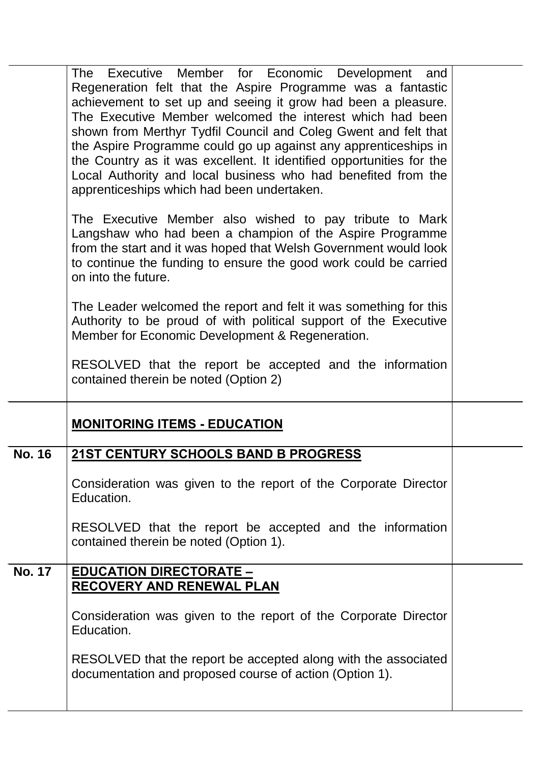|               | Executive Member for Economic Development and<br>The<br>Regeneration felt that the Aspire Programme was a fantastic<br>achievement to set up and seeing it grow had been a pleasure.<br>The Executive Member welcomed the interest which had been<br>shown from Merthyr Tydfil Council and Coleg Gwent and felt that<br>the Aspire Programme could go up against any apprenticeships in<br>the Country as it was excellent. It identified opportunities for the<br>Local Authority and local business who had benefited from the<br>apprenticeships which had been undertaken. |  |
|---------------|--------------------------------------------------------------------------------------------------------------------------------------------------------------------------------------------------------------------------------------------------------------------------------------------------------------------------------------------------------------------------------------------------------------------------------------------------------------------------------------------------------------------------------------------------------------------------------|--|
|               | The Executive Member also wished to pay tribute to Mark<br>Langshaw who had been a champion of the Aspire Programme<br>from the start and it was hoped that Welsh Government would look<br>to continue the funding to ensure the good work could be carried<br>on into the future.                                                                                                                                                                                                                                                                                             |  |
|               | The Leader welcomed the report and felt it was something for this<br>Authority to be proud of with political support of the Executive<br>Member for Economic Development & Regeneration.                                                                                                                                                                                                                                                                                                                                                                                       |  |
|               | RESOLVED that the report be accepted and the information<br>contained therein be noted (Option 2)                                                                                                                                                                                                                                                                                                                                                                                                                                                                              |  |
|               | <b>MONITORING ITEMS - EDUCATION</b>                                                                                                                                                                                                                                                                                                                                                                                                                                                                                                                                            |  |
| <b>No. 16</b> | 21ST CENTURY SCHOOLS BAND B PROGRESS                                                                                                                                                                                                                                                                                                                                                                                                                                                                                                                                           |  |
|               | Consideration was given to the report of the Corporate Director<br>Education.                                                                                                                                                                                                                                                                                                                                                                                                                                                                                                  |  |
|               | RESOLVED that the report be accepted and the information<br>contained therein be noted (Option 1).                                                                                                                                                                                                                                                                                                                                                                                                                                                                             |  |
| <b>No. 17</b> | <b>EDUCATION DIRECTORATE -</b>                                                                                                                                                                                                                                                                                                                                                                                                                                                                                                                                                 |  |
|               | <b>RECOVERY AND RENEWAL PLAN</b>                                                                                                                                                                                                                                                                                                                                                                                                                                                                                                                                               |  |
|               | Consideration was given to the report of the Corporate Director                                                                                                                                                                                                                                                                                                                                                                                                                                                                                                                |  |
|               | Education.                                                                                                                                                                                                                                                                                                                                                                                                                                                                                                                                                                     |  |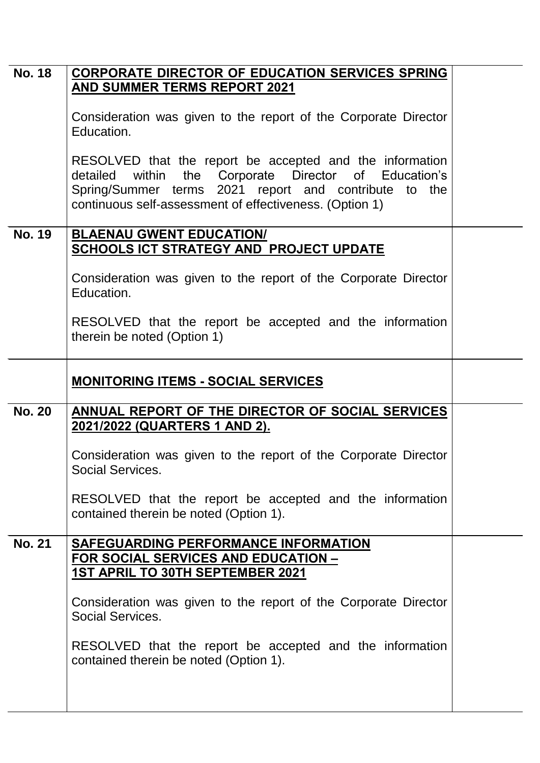| <b>No. 18</b> | <b>CORPORATE DIRECTOR OF EDUCATION SERVICES SPRING</b>                                                                                                                                                                                   |  |
|---------------|------------------------------------------------------------------------------------------------------------------------------------------------------------------------------------------------------------------------------------------|--|
|               | AND SUMMER TERMS REPORT 2021                                                                                                                                                                                                             |  |
|               | Consideration was given to the report of the Corporate Director<br>Education.                                                                                                                                                            |  |
|               | RESOLVED that the report be accepted and the information<br>within the Corporate Director of Education's<br>detailed<br>Spring/Summer terms 2021 report and contribute to the<br>continuous self-assessment of effectiveness. (Option 1) |  |
| <b>No. 19</b> | <b>BLAENAU GWENT EDUCATION/</b><br><b>SCHOOLS ICT STRATEGY AND PROJECT UPDATE</b>                                                                                                                                                        |  |
|               | Consideration was given to the report of the Corporate Director<br>Education.                                                                                                                                                            |  |
|               | RESOLVED that the report be accepted and the information<br>therein be noted (Option 1)                                                                                                                                                  |  |
|               | <b>MONITORING ITEMS - SOCIAL SERVICES</b>                                                                                                                                                                                                |  |
| <b>No. 20</b> | ANNUAL REPORT OF THE DIRECTOR OF SOCIAL SERVICES<br>2021/2022 (QUARTERS 1 AND 2).                                                                                                                                                        |  |
|               | Consideration was given to the report of the Corporate Director<br>Social Services.                                                                                                                                                      |  |
|               | RESOLVED that the report be accepted and the information<br>contained therein be noted (Option 1).                                                                                                                                       |  |
| <b>No. 21</b> | SAFEGUARDING PERFORMANCE INFORMATION<br><b>FOR SOCIAL SERVICES AND EDUCATION -</b><br>1ST APRIL TO 30TH SEPTEMBER 2021                                                                                                                   |  |
|               | Consideration was given to the report of the Corporate Director<br>Social Services.                                                                                                                                                      |  |
|               | RESOLVED that the report be accepted and the information<br>contained therein be noted (Option 1).                                                                                                                                       |  |
|               |                                                                                                                                                                                                                                          |  |